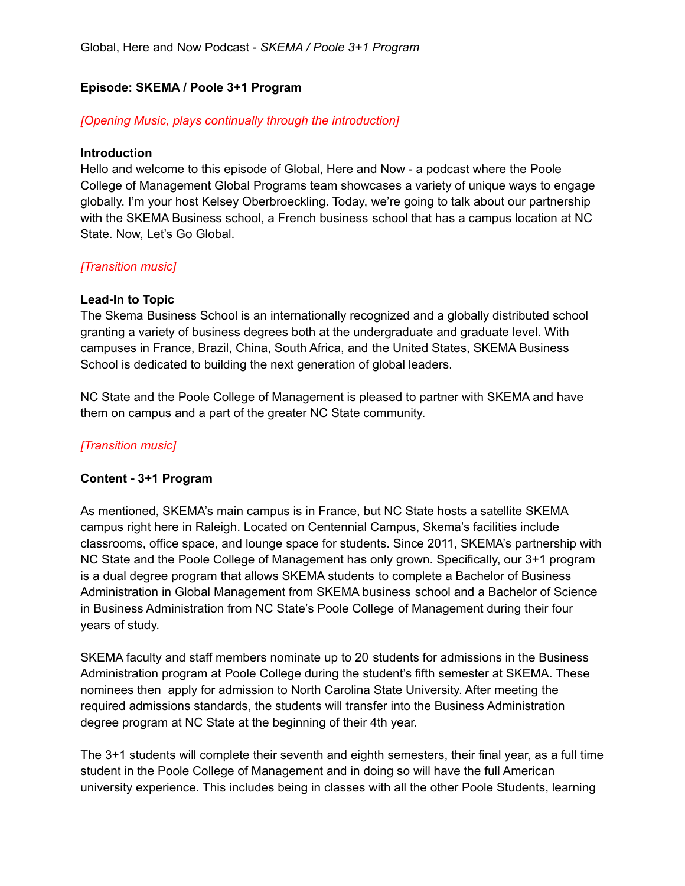Global, Here and Now Podcast - *SKEMA / Poole 3+1 Program*

## **Episode: SKEMA / Poole 3+1 Program**

## *[Opening Music, plays continually through the introduction]*

#### **Introduction**

Hello and welcome to this episode of Global, Here and Now - a podcast where the Poole College of Management Global Programs team showcases a variety of unique ways to engage globally. I'm your host Kelsey Oberbroeckling. Today, we're going to talk about our partnership with the SKEMA Business school, a French business school that has a campus location at NC State. Now, Let's Go Global.

### *[Transition music]*

### **Lead-In to Topic**

The Skema Business School is an internationally recognized and a globally distributed school granting a variety of business degrees both at the undergraduate and graduate level. With campuses in France, Brazil, China, South Africa, and the United States, SKEMA Business School is dedicated to building the next generation of global leaders.

NC State and the Poole College of Management is pleased to partner with SKEMA and have them on campus and a part of the greater NC State community.

# *[Transition music]*

### **Content - 3+1 Program**

As mentioned, SKEMA's main campus is in France, but NC State hosts a satellite SKEMA campus right here in Raleigh. Located on Centennial Campus, Skema's facilities include classrooms, office space, and lounge space for students. Since 2011, SKEMA's partnership with NC State and the Poole College of Management has only grown. Specifically, our 3+1 program is a dual degree program that allows SKEMA students to complete a Bachelor of Business Administration in Global Management from SKEMA business school and a Bachelor of Science in Business Administration from NC State's Poole College of Management during their four years of study.

SKEMA faculty and staff members nominate up to 20 students for admissions in the Business Administration program at Poole College during the student's fifth semester at SKEMA. These nominees then apply for admission to North Carolina State University. After meeting the required admissions standards, the students will transfer into the Business Administration degree program at NC State at the beginning of their 4th year.

The 3+1 students will complete their seventh and eighth semesters, their final year, as a full time student in the Poole College of Management and in doing so will have the full American university experience. This includes being in classes with all the other Poole Students, learning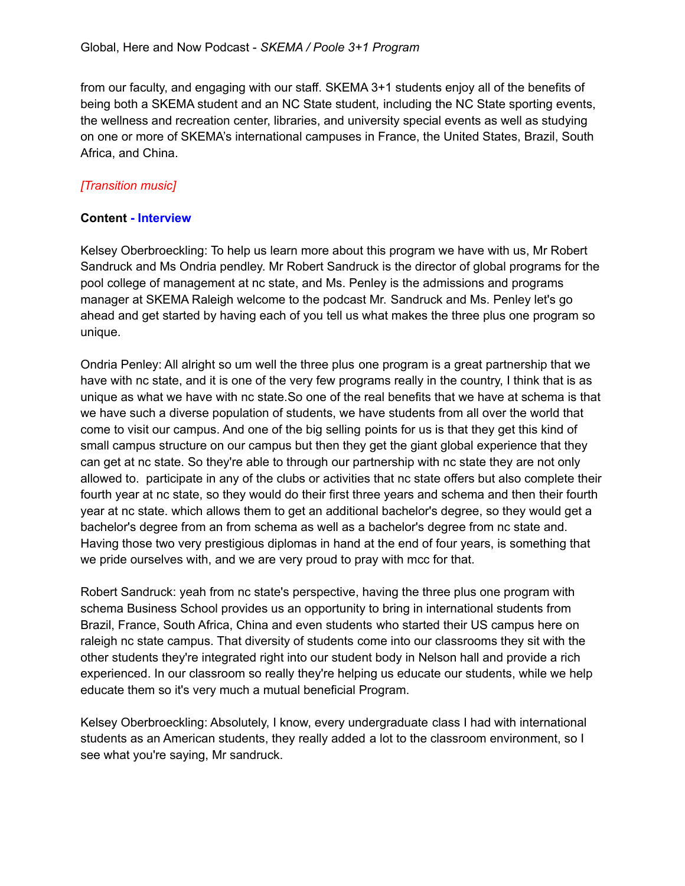from our faculty, and engaging with our staff. SKEMA 3+1 students enjoy all of the benefits of being both a SKEMA student and an NC State student, including the NC State sporting events, the wellness and recreation center, libraries, and university special events as well as studying on one or more of SKEMA's international campuses in France, the United States, Brazil, South Africa, and China.

# *[Transition music]*

## **Content - Interview**

Kelsey Oberbroeckling: To help us learn more about this program we have with us, Mr Robert Sandruck and Ms Ondria pendley. Mr Robert Sandruck is the director of global programs for the pool college of management at nc state, and Ms. Penley is the admissions and programs manager at SKEMA Raleigh welcome to the podcast Mr. Sandruck and Ms. Penley let's go ahead and get started by having each of you tell us what makes the three plus one program so unique.

Ondria Penley: All alright so um well the three plus one program is a great partnership that we have with nc state, and it is one of the very few programs really in the country, I think that is as unique as what we have with nc state.So one of the real benefits that we have at schema is that we have such a diverse population of students, we have students from all over the world that come to visit our campus. And one of the big selling points for us is that they get this kind of small campus structure on our campus but then they get the giant global experience that they can get at nc state. So they're able to through our partnership with nc state they are not only allowed to. participate in any of the clubs or activities that nc state offers but also complete their fourth year at nc state, so they would do their first three years and schema and then their fourth year at nc state. which allows them to get an additional bachelor's degree, so they would get a bachelor's degree from an from schema as well as a bachelor's degree from nc state and. Having those two very prestigious diplomas in hand at the end of four years, is something that we pride ourselves with, and we are very proud to pray with mcc for that.

Robert Sandruck: yeah from nc state's perspective, having the three plus one program with schema Business School provides us an opportunity to bring in international students from Brazil, France, South Africa, China and even students who started their US campus here on raleigh nc state campus. That diversity of students come into our classrooms they sit with the other students they're integrated right into our student body in Nelson hall and provide a rich experienced. In our classroom so really they're helping us educate our students, while we help educate them so it's very much a mutual beneficial Program.

Kelsey Oberbroeckling: Absolutely, I know, every undergraduate class I had with international students as an American students, they really added a lot to the classroom environment, so I see what you're saying, Mr sandruck.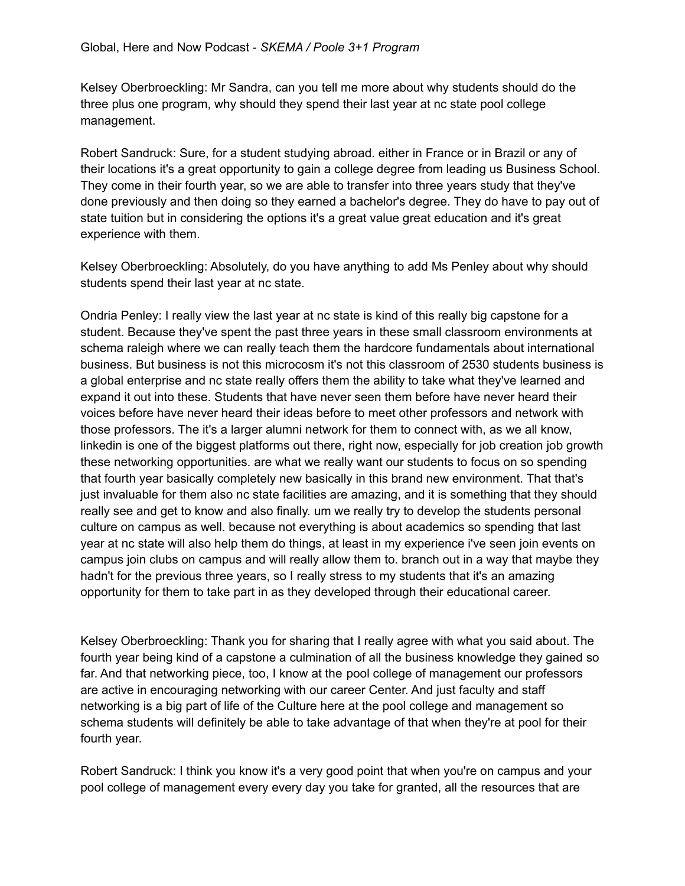Kelsey Oberbroeckling: Mr Sandra, can you tell me more about why students should do the three plus one program, why should they spend their last year at nc state pool college management.

Robert Sandruck: Sure, for a student studying abroad. either in France or in Brazil or any of their locations it's a great opportunity to gain a college degree from leading us Business School. They come in their fourth year, so we are able to transfer into three years study that they've done previously and then doing so they earned a bachelor's degree. They do have to pay out of state tuition but in considering the options it's a great value great education and it's great experience with them.

Kelsey Oberbroeckling: Absolutely, do you have anything to add Ms Penley about why should students spend their last year at nc state.

Ondria Penley: I really view the last year at nc state is kind of this really big capstone for a student. Because they've spent the past three years in these small classroom environments at schema raleigh where we can really teach them the hardcore fundamentals about international business. But business is not this microcosm it's not this classroom of 2530 students business is a global enterprise and nc state really offers them the ability to take what they've learned and expand it out into these. Students that have never seen them before have never heard their voices before have never heard their ideas before to meet other professors and network with those professors. The it's a larger alumni network for them to connect with, as we all know, linkedin is one of the biggest platforms out there, right now, especially for job creation job growth these networking opportunities. are what we really want our students to focus on so spending that fourth year basically completely new basically in this brand new environment. That that's just invaluable for them also nc state facilities are amazing, and it is something that they should really see and get to know and also finally. um we really try to develop the students personal culture on campus as well. because not everything is about academics so spending that last year at nc state will also help them do things, at least in my experience i've seen join events on campus join clubs on campus and will really allow them to. branch out in a way that maybe they hadn't for the previous three years, so I really stress to my students that it's an amazing opportunity for them to take part in as they developed through their educational career.

Kelsey Oberbroeckling: Thank you for sharing that I really agree with what you said about. The fourth year being kind of a capstone a culmination of all the business knowledge they gained so far. And that networking piece, too, I know at the pool college of management our professors are active in encouraging networking with our career Center. And just faculty and staff networking is a big part of life of the Culture here at the pool college and management so schema students will definitely be able to take advantage of that when they're at pool for their fourth year.

Robert Sandruck: I think you know it's a very good point that when you're on campus and your pool college of management every every day you take for granted, all the resources that are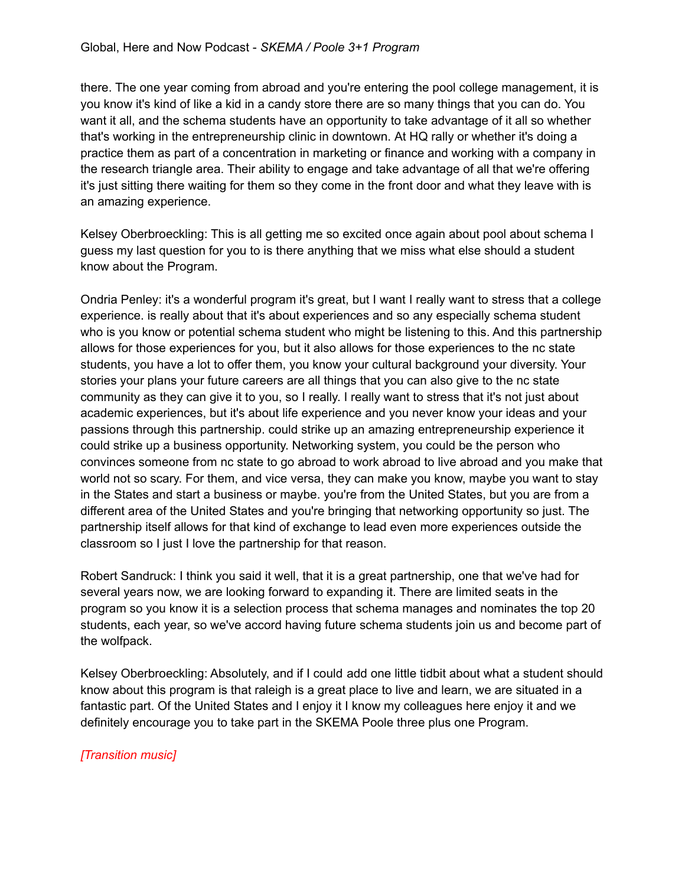there. The one year coming from abroad and you're entering the pool college management, it is you know it's kind of like a kid in a candy store there are so many things that you can do. You want it all, and the schema students have an opportunity to take advantage of it all so whether that's working in the entrepreneurship clinic in downtown. At HQ rally or whether it's doing a practice them as part of a concentration in marketing or finance and working with a company in the research triangle area. Their ability to engage and take advantage of all that we're offering it's just sitting there waiting for them so they come in the front door and what they leave with is an amazing experience.

Kelsey Oberbroeckling: This is all getting me so excited once again about pool about schema I guess my last question for you to is there anything that we miss what else should a student know about the Program.

Ondria Penley: it's a wonderful program it's great, but I want I really want to stress that a college experience. is really about that it's about experiences and so any especially schema student who is you know or potential schema student who might be listening to this. And this partnership allows for those experiences for you, but it also allows for those experiences to the nc state students, you have a lot to offer them, you know your cultural background your diversity. Your stories your plans your future careers are all things that you can also give to the nc state community as they can give it to you, so I really. I really want to stress that it's not just about academic experiences, but it's about life experience and you never know your ideas and your passions through this partnership. could strike up an amazing entrepreneurship experience it could strike up a business opportunity. Networking system, you could be the person who convinces someone from nc state to go abroad to work abroad to live abroad and you make that world not so scary. For them, and vice versa, they can make you know, maybe you want to stay in the States and start a business or maybe. you're from the United States, but you are from a different area of the United States and you're bringing that networking opportunity so just. The partnership itself allows for that kind of exchange to lead even more experiences outside the classroom so I just I love the partnership for that reason.

Robert Sandruck: I think you said it well, that it is a great partnership, one that we've had for several years now, we are looking forward to expanding it. There are limited seats in the program so you know it is a selection process that schema manages and nominates the top 20 students, each year, so we've accord having future schema students join us and become part of the wolfpack.

Kelsey Oberbroeckling: Absolutely, and if I could add one little tidbit about what a student should know about this program is that raleigh is a great place to live and learn, we are situated in a fantastic part. Of the United States and I enjoy it I know my colleagues here enjoy it and we definitely encourage you to take part in the SKEMA Poole three plus one Program.

# *[Transition music]*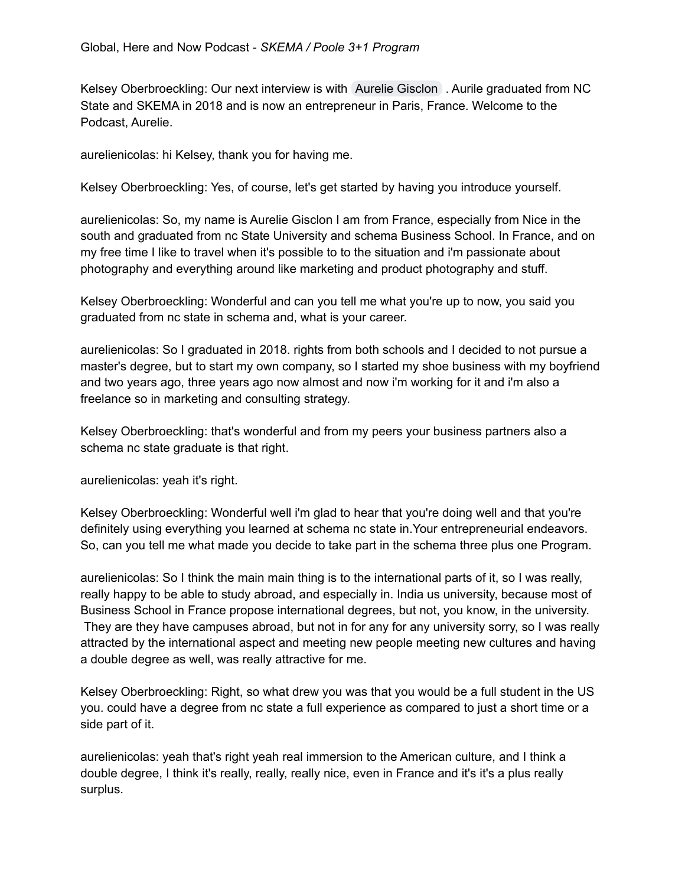Kelsey Oberbroeckling: Our next interview is with Aurelie [Gisclon](mailto:algisclo@ncsu.edu) . Aurile graduated from NC State and SKEMA in 2018 and is now an entrepreneur in Paris, France. Welcome to the Podcast, Aurelie.

aurelienicolas: hi Kelsey, thank you for having me.

Kelsey Oberbroeckling: Yes, of course, let's get started by having you introduce yourself.

aurelienicolas: So, my name is Aurelie Gisclon I am from France, especially from Nice in the south and graduated from nc State University and schema Business School. In France, and on my free time I like to travel when it's possible to to the situation and i'm passionate about photography and everything around like marketing and product photography and stuff.

Kelsey Oberbroeckling: Wonderful and can you tell me what you're up to now, you said you graduated from nc state in schema and, what is your career.

aurelienicolas: So I graduated in 2018. rights from both schools and I decided to not pursue a master's degree, but to start my own company, so I started my shoe business with my boyfriend and two years ago, three years ago now almost and now i'm working for it and i'm also a freelance so in marketing and consulting strategy.

Kelsey Oberbroeckling: that's wonderful and from my peers your business partners also a schema nc state graduate is that right.

aurelienicolas: yeah it's right.

Kelsey Oberbroeckling: Wonderful well i'm glad to hear that you're doing well and that you're definitely using everything you learned at schema nc state in.Your entrepreneurial endeavors. So, can you tell me what made you decide to take part in the schema three plus one Program.

aurelienicolas: So I think the main main thing is to the international parts of it, so I was really, really happy to be able to study abroad, and especially in. India us university, because most of Business School in France propose international degrees, but not, you know, in the university. They are they have campuses abroad, but not in for any for any university sorry, so I was really attracted by the international aspect and meeting new people meeting new cultures and having a double degree as well, was really attractive for me.

Kelsey Oberbroeckling: Right, so what drew you was that you would be a full student in the US you. could have a degree from nc state a full experience as compared to just a short time or a side part of it.

aurelienicolas: yeah that's right yeah real immersion to the American culture, and I think a double degree, I think it's really, really, really nice, even in France and it's it's a plus really surplus.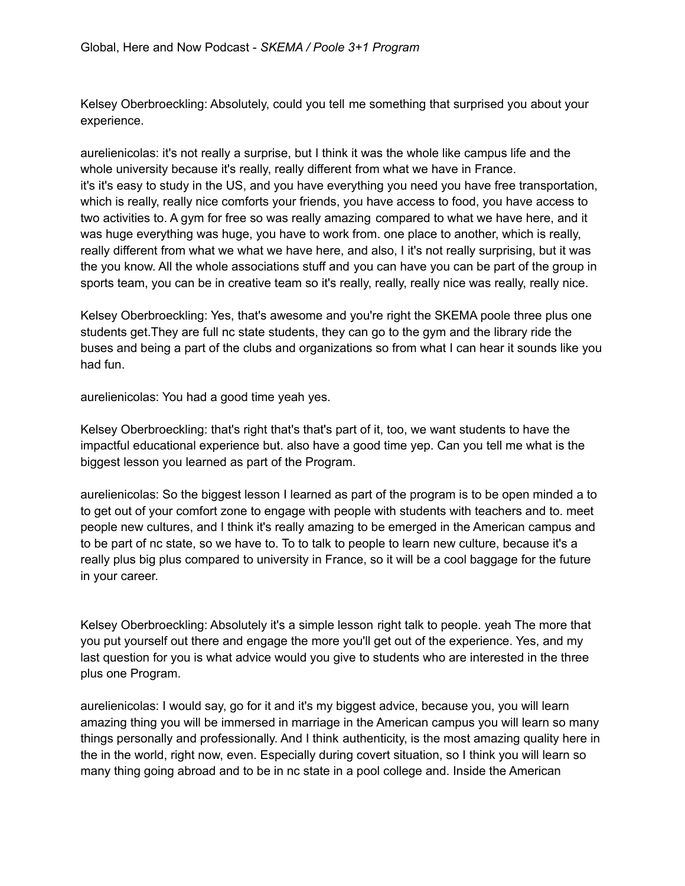Kelsey Oberbroeckling: Absolutely, could you tell me something that surprised you about your experience.

aurelienicolas: it's not really a surprise, but I think it was the whole like campus life and the whole university because it's really, really different from what we have in France. it's it's easy to study in the US, and you have everything you need you have free transportation, which is really, really nice comforts your friends, you have access to food, you have access to two activities to. A gym for free so was really amazing compared to what we have here, and it was huge everything was huge, you have to work from. one place to another, which is really, really different from what we what we have here, and also, I it's not really surprising, but it was the you know. All the whole associations stuff and you can have you can be part of the group in sports team, you can be in creative team so it's really, really, really nice was really, really nice.

Kelsey Oberbroeckling: Yes, that's awesome and you're right the SKEMA poole three plus one students get.They are full nc state students, they can go to the gym and the library ride the buses and being a part of the clubs and organizations so from what I can hear it sounds like you had fun.

aurelienicolas: You had a good time yeah yes.

Kelsey Oberbroeckling: that's right that's that's part of it, too, we want students to have the impactful educational experience but. also have a good time yep. Can you tell me what is the biggest lesson you learned as part of the Program.

aurelienicolas: So the biggest lesson I learned as part of the program is to be open minded a to to get out of your comfort zone to engage with people with students with teachers and to. meet people new cultures, and I think it's really amazing to be emerged in the American campus and to be part of nc state, so we have to. To to talk to people to learn new culture, because it's a really plus big plus compared to university in France, so it will be a cool baggage for the future in your career.

Kelsey Oberbroeckling: Absolutely it's a simple lesson right talk to people. yeah The more that you put yourself out there and engage the more you'll get out of the experience. Yes, and my last question for you is what advice would you give to students who are interested in the three plus one Program.

aurelienicolas: I would say, go for it and it's my biggest advice, because you, you will learn amazing thing you will be immersed in marriage in the American campus you will learn so many things personally and professionally. And I think authenticity, is the most amazing quality here in the in the world, right now, even. Especially during covert situation, so I think you will learn so many thing going abroad and to be in nc state in a pool college and. Inside the American